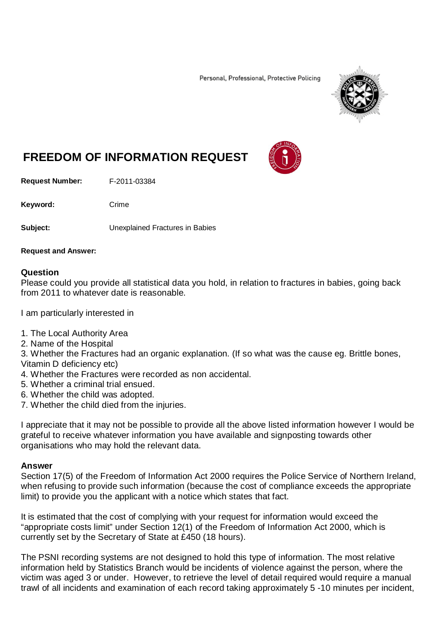Personal, Professional, Protective Policing



## **FREEDOM OF INFORMATION REQUEST**

**Request Number:** F-2011-03384

Keyword: Crime

**Subject:** Unexplained Fractures in Babies

## **Request and Answer:**

## **Question**

Please could you provide all statistical data you hold, in relation to fractures in babies, going back from 2011 to whatever date is reasonable.

I am particularly interested in

- 1. The Local Authority Area
- 2. Name of the Hospital

3. Whether the Fractures had an organic explanation. (If so what was the cause eg. Brittle bones, Vitamin D deficiency etc)

- 4. Whether the Fractures were recorded as non accidental.
- 5. Whether a criminal trial ensued.
- 6. Whether the child was adopted.
- 7. Whether the child died from the injuries.

I appreciate that it may not be possible to provide all the above listed information however I would be grateful to receive whatever information you have available and signposting towards other organisations who may hold the relevant data.

## **Answer**

Section 17(5) of the Freedom of Information Act 2000 requires the Police Service of Northern Ireland, when refusing to provide such information (because the cost of compliance exceeds the appropriate limit) to provide you the applicant with a notice which states that fact.

It is estimated that the cost of complying with your request for information would exceed the "appropriate costs limit" under Section 12(1) of the Freedom of Information Act 2000, which is currently set by the Secretary of State at £450 (18 hours).

The PSNI recording systems are not designed to hold this type of information. The most relative information held by Statistics Branch would be incidents of violence against the person, where the victim was aged 3 or under. However, to retrieve the level of detail required would require a manual trawl of all incidents and examination of each record taking approximately 5 -10 minutes per incident,